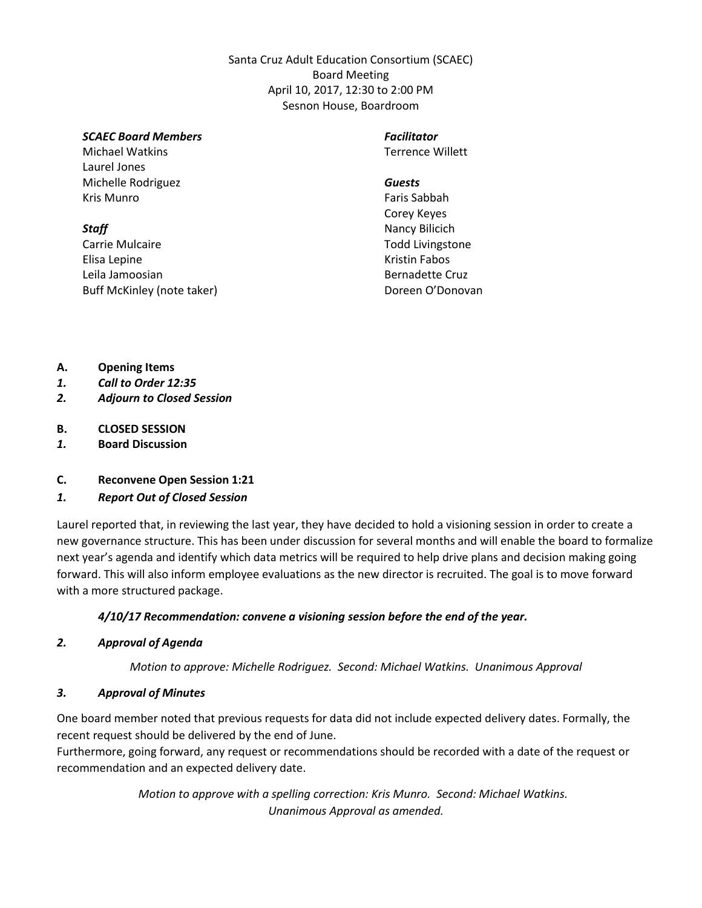Santa Cruz Adult Education Consortium (SCAEC) Board Meeting April 10, 2017, 12:30 to 2:00 PM Sesnon House, Boardroom

#### *SCAEC Board Members*

Michael Watkins Laurel Jones Michelle Rodriguez Kris Munro

#### *Staff*

Carrie Mulcaire Elisa Lepine Leila Jamoosian Buff McKinley (note taker)

# *Facilitator*

Terrence Willett

#### *Guests*

Faris Sabbah Corey Keyes Nancy Bilicich Todd Livingstone Kristin Fabos Bernadette Cruz Doreen O'Donovan

- **A. Opening Items**
- *1. Call to Order 12:35*
- *2. Adjourn to Closed Session*
- **B. CLOSED SESSION**
- *1.* **Board Discussion**
- **C. Reconvene Open Session 1:21**

#### *1. Report Out of Closed Session*

Laurel reported that, in reviewing the last year, they have decided to hold a visioning session in order to create a new governance structure. This has been under discussion for several months and will enable the board to formalize next year's agenda and identify which data metrics will be required to help drive plans and decision making going forward. This will also inform employee evaluations as the new director is recruited. The goal is to move forward with a more structured package.

#### *4/10/17 Recommendation: convene a visioning session before the end of the year.*

#### *2. Approval of Agenda*

*Motion to approve: Michelle Rodriguez. Second: Michael Watkins. Unanimous Approval*

#### *3. Approval of Minutes*

One board member noted that previous requests for data did not include expected delivery dates. Formally, the recent request should be delivered by the end of June.

Furthermore, going forward, any request or recommendations should be recorded with a date of the request or recommendation and an expected delivery date.

> *Motion to approve with a spelling correction: Kris Munro. Second: Michael Watkins. Unanimous Approval as amended.*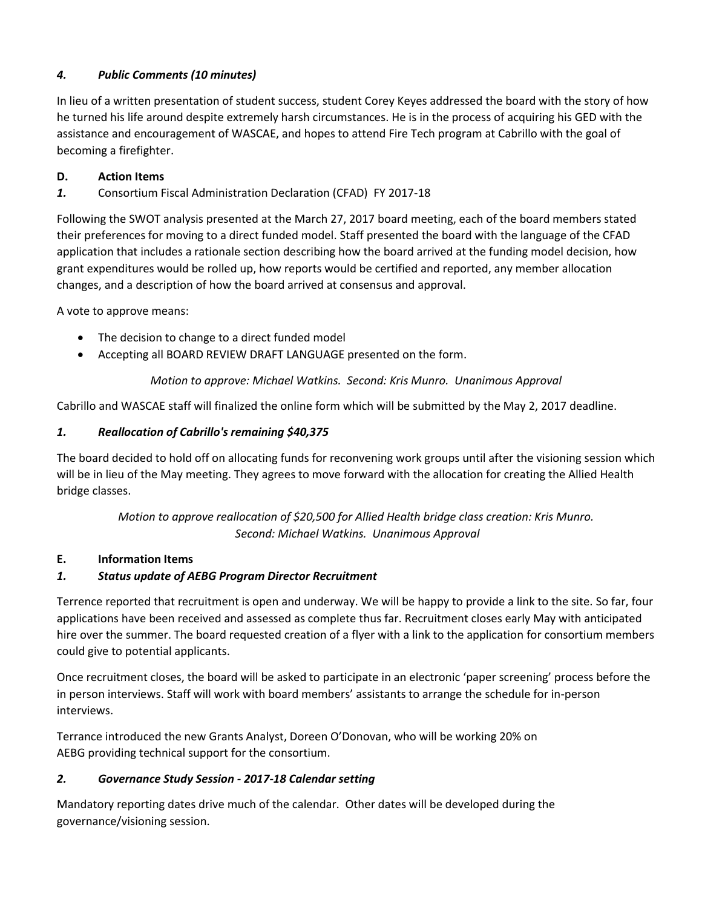# *4. Public Comments (10 minutes)*

In lieu of a written presentation of student success, student Corey Keyes addressed the board with the story of how he turned his life around despite extremely harsh circumstances. He is in the process of acquiring his GED with the assistance and encouragement of WASCAE, and hopes to attend Fire Tech program at Cabrillo with the goal of becoming a firefighter.

## **D. Action Items**

*1.* Consortium Fiscal Administration Declaration (CFAD) FY 2017-18

Following the SWOT analysis presented at the March 27, 2017 board meeting, each of the board members stated their preferences for moving to a direct funded model. Staff presented the board with the language of the CFAD application that includes a rationale section describing how the board arrived at the funding model decision, how grant expenditures would be rolled up, how reports would be certified and reported, any member allocation changes, and a description of how the board arrived at consensus and approval.

A vote to approve means:

- The decision to change to a direct funded model
- Accepting all BOARD REVIEW DRAFT LANGUAGE presented on the form.

## *Motion to approve: Michael Watkins. Second: Kris Munro. Unanimous Approval*

Cabrillo and WASCAE staff will finalized the online form which will be submitted by the May 2, 2017 deadline.

## *1. Reallocation of Cabrillo's remaining \$40,375*

The board decided to hold off on allocating funds for reconvening work groups until after the visioning session which will be in lieu of the May meeting. They agrees to move forward with the allocation for creating the Allied Health bridge classes.

## *Motion to approve reallocation of \$20,500 for Allied Health bridge class creation: Kris Munro. Second: Michael Watkins. Unanimous Approval*

#### **E. Information Items**

# *1. Status update of AEBG Program Director Recruitment*

Terrence reported that recruitment is open and underway. We will be happy to provide a link to the site. So far, four applications have been received and assessed as complete thus far. Recruitment closes early May with anticipated hire over the summer. The board requested creation of a flyer with a link to the application for consortium members could give to potential applicants.

Once recruitment closes, the board will be asked to participate in an electronic 'paper screening' process before the in person interviews. Staff will work with board members' assistants to arrange the schedule for in-person interviews.

Terrance introduced the new Grants Analyst, Doreen O'Donovan, who will be working 20% on AEBG providing technical support for the consortium.

# *2. Governance Study Session - 2017-18 Calendar setting*

Mandatory reporting dates drive much of the calendar. Other dates will be developed during the governance/visioning session.